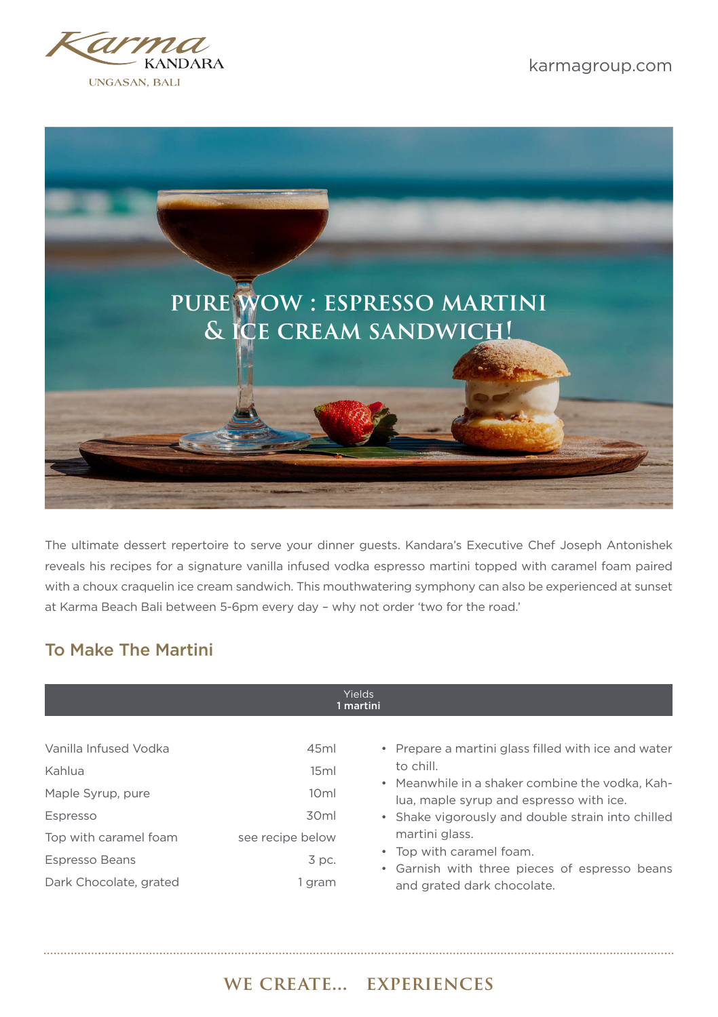



The ultimate dessert repertoire to serve your dinner guests. Kandara's Executive Chef Joseph Antonishek reveals his recipes for a signature vanilla infused vodka espresso martini topped with caramel foam paired with a choux craquelin ice cream sandwich. This mouthwatering symphony can also be experienced at sunset at Karma Beach Bali between 5-6pm every day – why not order 'two for the road.'

#### To Make The Martini

#### Yields 1 martini

| Vanilla Infused Vodka<br>Kahlua<br>Maple Syrup, pure | 45ml<br>15ml<br>10 <sub>ml</sub> | • Prepare a martini glass filled with ice and water<br>to chill.<br>• Meanwhile in a shaker combine the vodka, Kah-<br>lua, maple syrup and espresso with ice. |
|------------------------------------------------------|----------------------------------|----------------------------------------------------------------------------------------------------------------------------------------------------------------|
| Espresso                                             | 30 <sub>ml</sub>                 | • Shake vigorously and double strain into chilled                                                                                                              |
| Top with caramel foam                                | see recipe below                 | martini glass.                                                                                                                                                 |
| Espresso Beans                                       | $3$ pc.                          | • Top with caramel foam.<br>• Garnish with three pieces of espresso beans                                                                                      |
| Dark Chocolate, grated                               | gram                             | and grated dark chocolate.                                                                                                                                     |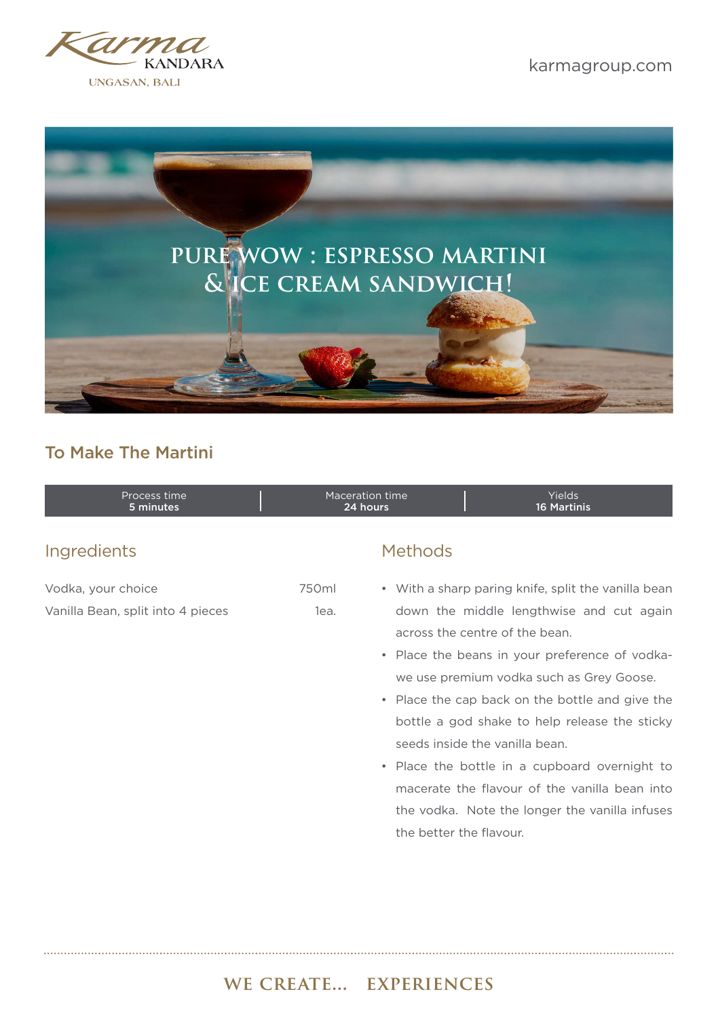



## To Make The Martini

| Process time<br>5 minutes         | Maceration time<br>24 hours |                                | Yields<br><b>16 Martinis</b>                        |  |
|-----------------------------------|-----------------------------|--------------------------------|-----------------------------------------------------|--|
| <b>Ingredients</b>                |                             | <b>Methods</b>                 |                                                     |  |
| Vodka, your choice                | 750ml                       |                                | • With a sharp paring knife, split the vanilla bean |  |
| Vanilla Bean, split into 4 pieces | lea.                        |                                | down the middle lengthwise and cut again            |  |
|                                   |                             | across the centre of the bean. |                                                     |  |
|                                   |                             |                                | • Place the beans in your preference of vodka-      |  |
|                                   |                             |                                | we use premium vodka such as Grey Goose.            |  |
|                                   |                             |                                | . Dissa tha san basican tha battle spalmine tha     |  |

- Place the cap back on the bottle and give the bottle a god shake to help release the sticky seeds inside the vanilla bean.
- Place the bottle in a cupboard overnight to macerate the flavour of the vanilla bean into the vodka. Note the longer the vanilla infuses the better the flavour.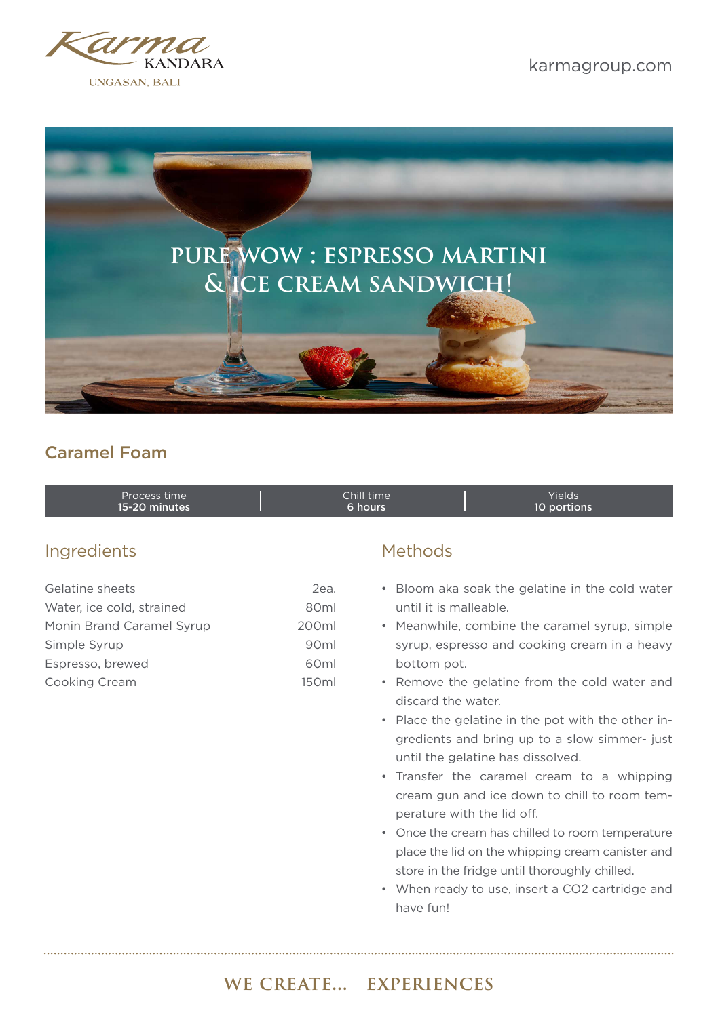



## Caramel Foam

| Process time  | Chill time' | <b>Yields</b> |  |
|---------------|-------------|---------------|--|
| 15-20 minutes | 6 hours     | 10 portions   |  |

#### Ingredients Methods

| 2ea.              |
|-------------------|
| 80 <sub>ml</sub>  |
| 200ml             |
| 90 <sub>ml</sub>  |
| 60 <sub>ml</sub>  |
| 150 <sub>ml</sub> |
|                   |

- Bloom aka soak the gelatine in the cold water until it is malleable.
- Meanwhile, combine the caramel syrup, simple syrup, espresso and cooking cream in a heavy bottom pot.
- Remove the gelatine from the cold water and discard the water.
- Place the gelatine in the pot with the other ingredients and bring up to a slow simmer- just until the gelatine has dissolved.
- Transfer the caramel cream to a whipping cream gun and ice down to chill to room temperature with the lid off.
- Once the cream has chilled to room temperature place the lid on the whipping cream canister and store in the fridge until thoroughly chilled.
- When ready to use, insert a CO2 cartridge and have fun!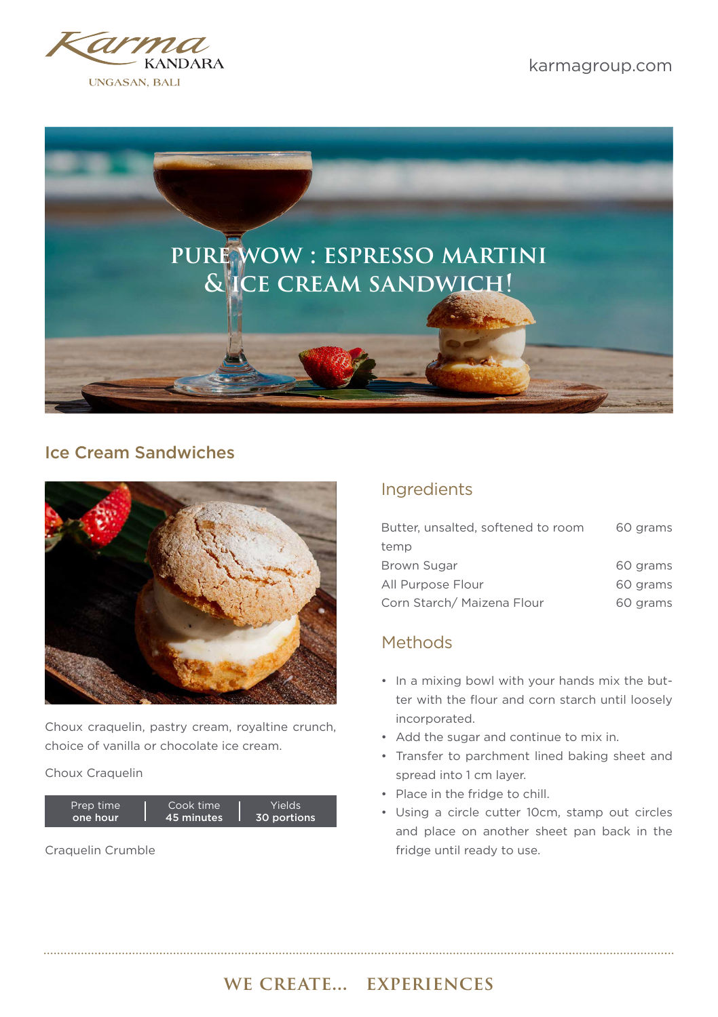



#### Ice Cream Sandwiches



Choux craquelin, pastry cream, royaltine crunch, choice of vanilla or chocolate ice cream.

#### Choux Craquelin



Craquelin Crumble

#### Ingredients

| Butter, unsalted, softened to room | 60 grams |
|------------------------------------|----------|
| temp                               |          |
| Brown Sugar                        | 60 grams |
| All Purpose Flour                  | 60 grams |
| Corn Starch/ Maizena Flour         | 60 grams |

#### Methods

- In a mixing bowl with your hands mix the butter with the flour and corn starch until loosely incorporated.
- Add the sugar and continue to mix in.
- Transfer to parchment lined baking sheet and spread into 1 cm layer.
- Place in the fridge to chill.
- Using a circle cutter 10cm, stamp out circles and place on another sheet pan back in the fridge until ready to use.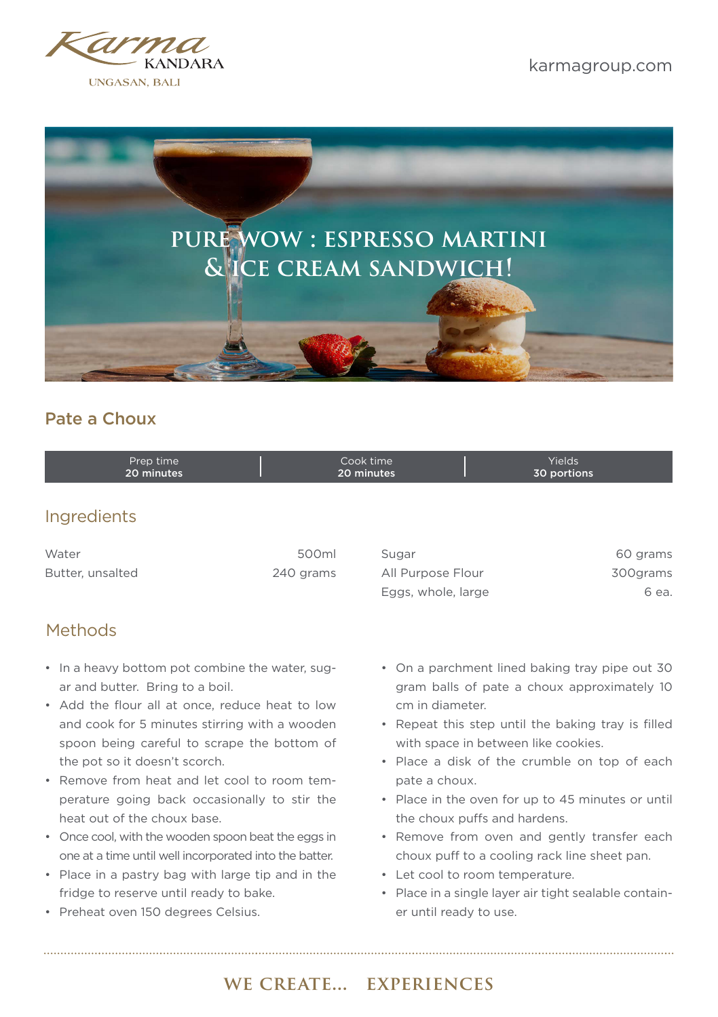



#### Pate a Choux

| Prep time  | Cook time  | Yields      |
|------------|------------|-------------|
| 20 minutes | 20 minutes | 30 portions |

#### **Ingredients**

| Water            | 500ml     | Sugar    |
|------------------|-----------|----------|
| Butter, unsalted | 240 grams | All Purp |

#### Methods

- In a heavy bottom pot combine the water, sugar and butter. Bring to a boil.
- Add the flour all at once, reduce heat to low and cook for 5 minutes stirring with a wooden spoon being careful to scrape the bottom of the pot so it doesn't scorch.
- Remove from heat and let cool to room temperature going back occasionally to stir the heat out of the choux base.
- Once cool, with the wooden spoon beat the eggs in one at a time until well incorporated into the batter.
- Place in a pastry bag with large tip and in the fridge to reserve until ready to bake.
- Preheat oven 150 degrees Celsius.

| Sugar              | 60 grams  |
|--------------------|-----------|
| All Purpose Flour  | 300 grams |
| Eggs, whole, large | 6 ea.     |

- On a parchment lined baking tray pipe out 30 gram balls of pate a choux approximately 10 cm in diameter.
- Repeat this step until the baking tray is filled with space in between like cookies.
- Place a disk of the crumble on top of each pate a choux.
- Place in the oven for up to 45 minutes or until the choux puffs and hardens.
- Remove from oven and gently transfer each choux puff to a cooling rack line sheet pan.
- Let cool to room temperature.
- Place in a single layer air tight sealable container until ready to use.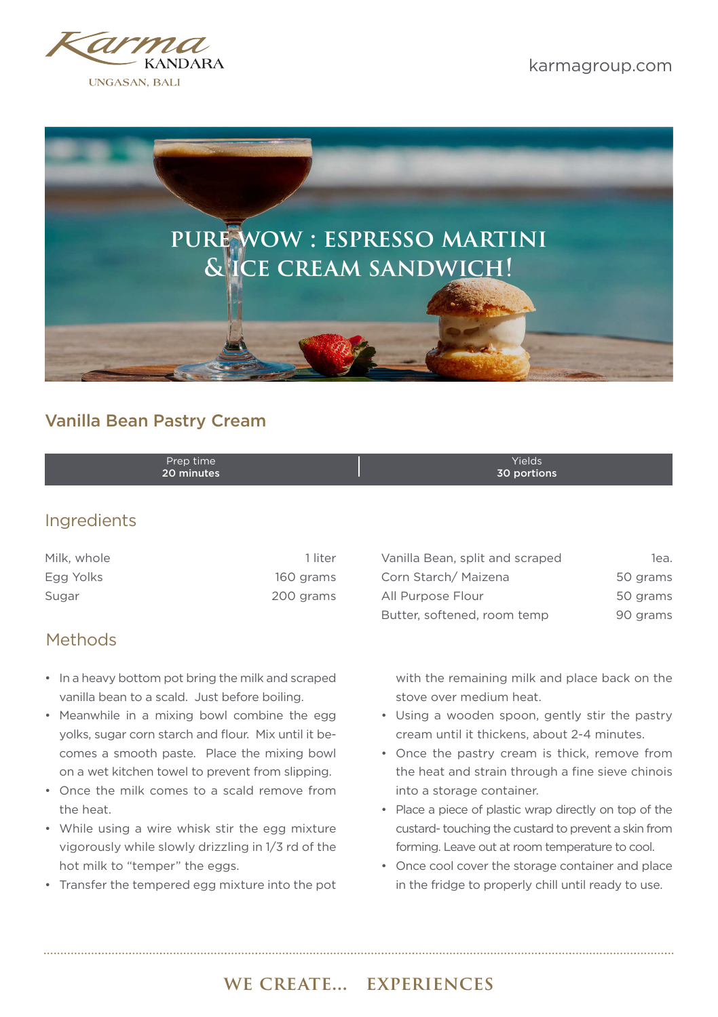



#### Vanilla Bean Pastry Cream

| 20 minutes<br>30 portions | Prep time | Yields |
|---------------------------|-----------|--------|
|---------------------------|-----------|--------|

#### Ingredients

| Milk. whole | 1 liter   |
|-------------|-----------|
| Egg Yolks   | 160 grams |
| Sugar       | 200 grams |

#### **Methods**

- In a heavy bottom pot bring the milk and scraped vanilla bean to a scald. Just before boiling.
- Meanwhile in a mixing bowl combine the egg yolks, sugar corn starch and flour. Mix until it becomes a smooth paste. Place the mixing bowl on a wet kitchen towel to prevent from slipping.
- Once the milk comes to a scald remove from the heat.
- While using a wire whisk stir the egg mixture vigorously while slowly drizzling in 1/3 rd of the hot milk to "temper" the eggs.
- Transfer the tempered egg mixture into the pot

| Vanilla Bean, split and scraped | 1ea.     |
|---------------------------------|----------|
| Corn Starch/Maizena             | 50 grams |
| All Purpose Flour               | 50 grams |
| Butter, softened, room temp     | 90 grams |

with the remaining milk and place back on the stove over medium heat.

- Using a wooden spoon, gently stir the pastry cream until it thickens, about 2-4 minutes.
- Once the pastry cream is thick, remove from the heat and strain through a fine sieve chinois into a storage container.
- Place a piece of plastic wrap directly on top of the custard- touching the custard to prevent a skin from forming. Leave out at room temperature to cool.
- Once cool cover the storage container and place in the fridge to properly chill until ready to use.